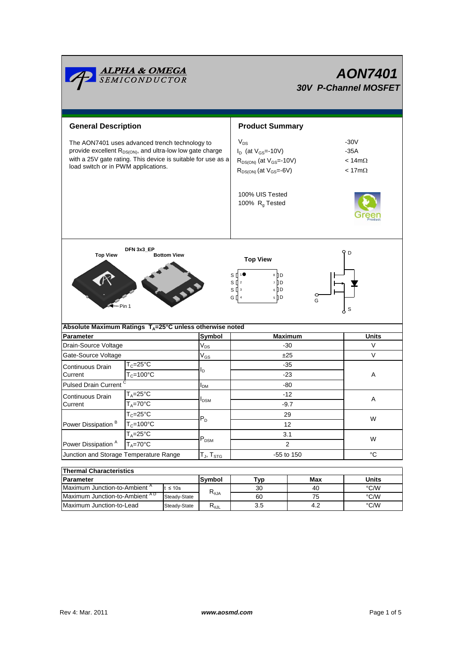

| 1116111141 UNAI 466613663                 |              |        |     |     |       |  |  |  |  |
|-------------------------------------------|--------------|--------|-----|-----|-------|--|--|--|--|
| <b>IParameter</b>                         |              | Symbol | ™vp | Max | Units |  |  |  |  |
| Maximum Junction-to-Ambient "             | $\leq 10s$   | ৲⊕JA   | 30  | 40  | °C/W  |  |  |  |  |
| Maximum Junction-to-Ambient <sup>AD</sup> | Steady-State |        | 60  | ′5  | °C/W  |  |  |  |  |
| Maximum Junction-to-Lead                  | Steady-State | ռօյլ   | 3.5 | 4.2 | °C/W  |  |  |  |  |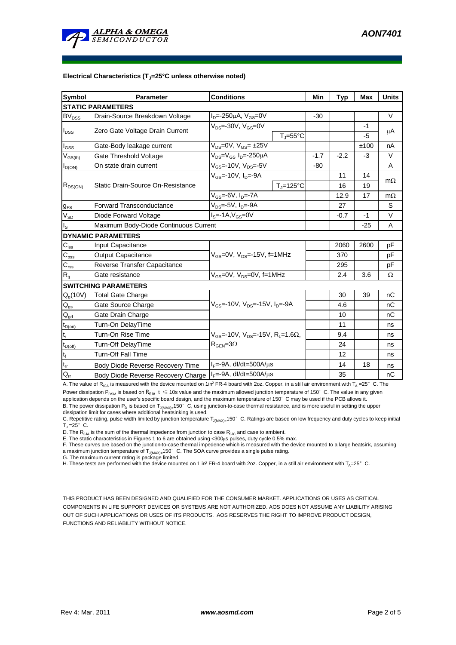

#### **Electrical Characteristics (TJ=25°C unless otherwise noted)**

| <b>Symbol</b>            | Parameter                                                               | <b>Conditions</b>                                                     |        | Typ    | <b>Max</b> | <b>Units</b> |  |  |  |  |
|--------------------------|-------------------------------------------------------------------------|-----------------------------------------------------------------------|--------|--------|------------|--------------|--|--|--|--|
| <b>STATIC PARAMETERS</b> |                                                                         |                                                                       |        |        |            |              |  |  |  |  |
| BV <sub>DSS</sub>        | Drain-Source Breakdown Voltage                                          | $I_{D} = -250 \mu A$ , $V_{GS} = 0V$                                  | $-30$  |        |            | $\vee$       |  |  |  |  |
| $I_{DSS}$                | Zero Gate Voltage Drain Current                                         | $V_{DS} = -30V$ , $V_{GS} = 0V$                                       |        |        | $-1$       | μA           |  |  |  |  |
|                          |                                                                         | $T_i = 55^{\circ}C$                                                   |        |        | -5         |              |  |  |  |  |
| $I_{GSS}$                | Gate-Body leakage current                                               | $V_{DS}=$ 0V, $V_{GS}=$ $\pm$ 25V                                     |        |        | ±100       | nA           |  |  |  |  |
| $V_{\text{GS(th)}}$      | Gate Threshold Voltage                                                  | $V_{DS} = V_{GS} I_D = -250 \mu A$                                    | $-1.7$ | $-2.2$ | $-3$       | $\vee$       |  |  |  |  |
| $I_{D(ON)}$              | On state drain current                                                  | $V_{GS}$ =-10V, $V_{DS}$ =-5V                                         | $-80$  |        |            | A            |  |  |  |  |
| $R_{DS(ON)}$             | Static Drain-Source On-Resistance                                       | $V_{GS}$ =-10V, $I_D$ =-9A                                            |        | 11     | 14         | $m\Omega$    |  |  |  |  |
|                          |                                                                         | $T_{\rm J}$ =125°C                                                    |        | 16     | 19         |              |  |  |  |  |
|                          |                                                                         | V <sub>GS</sub> =-6V, I <sub>D</sub> =-7A                             |        | 12.9   | 17         | $m\Omega$    |  |  |  |  |
| $g_{FS}$                 | <b>Forward Transconductance</b>                                         | $V_{DS} = -5V$ , $I_D = -9A$                                          |        | 27     |            | S            |  |  |  |  |
| $V_{SD}$                 | Diode Forward Voltage                                                   | $IS=-1A, VGS=0V$                                                      |        | $-0.7$ | $-1$       | $\vee$       |  |  |  |  |
| $I_{\rm S}$              | Maximum Body-Diode Continuous Current                                   |                                                                       |        |        | $-25$      | A            |  |  |  |  |
|                          | <b>DYNAMIC PARAMETERS</b>                                               |                                                                       |        |        |            |              |  |  |  |  |
| $C_{\text{iss}}$         | Input Capacitance                                                       |                                                                       |        | 2060   | 2600       | pF           |  |  |  |  |
| $C_{\rm oss}$            | <b>Output Capacitance</b>                                               | $V_{GS}$ =0V, $V_{DS}$ =-15V, f=1MHz                                  |        | 370    |            | pF           |  |  |  |  |
| $C_{\rm rss}$            | Reverse Transfer Capacitance                                            |                                                                       |        | 295    |            | pF           |  |  |  |  |
| $R_{g}$                  | Gate resistance                                                         | $V_{GS}$ =0V, $V_{DS}$ =0V, f=1MHz                                    |        | 2.4    | 3.6        | Ω            |  |  |  |  |
|                          | <b>SWITCHING PARAMETERS</b>                                             |                                                                       |        |        |            |              |  |  |  |  |
| $Q_g(10V)$               | <b>Total Gate Charge</b>                                                |                                                                       |        | 30     | 39         | nC           |  |  |  |  |
| $Q_{gs}$                 | Gate Source Charge                                                      | $V_{\text{GS}}$ =-10V, $V_{\text{DS}}$ =-15V, $I_{\text{DS}}$ =-9A    |        | 4.6    |            | nC           |  |  |  |  |
| $\mathbf{Q}_{\text{gd}}$ | Gate Drain Charge                                                       |                                                                       |        | 10     |            | nC           |  |  |  |  |
| $t_{D(on)}$              | Turn-On DelayTime                                                       |                                                                       |        | 11     |            | ns           |  |  |  |  |
| $t_r$                    | Turn-On Rise Time                                                       | $V_{\text{GS}} = -10V$ , $V_{\text{DS}} = -15V$ , $R_1 = 1.6\Omega$ , |        | 9.4    |            | ns           |  |  |  |  |
| $t_{D(off)}$             | Turn-Off DelayTime                                                      | $R_{\text{GEN}} = 3\Omega$                                            |        | 24     |            | ns           |  |  |  |  |
| $t_f$                    | Turn-Off Fall Time                                                      |                                                                       |        | 12     |            | ns           |  |  |  |  |
| $t_{rr}$                 | <b>Body Diode Reverse Recovery Time</b>                                 | $I_F = -9A$ , dl/dt=500A/ $\mu$ s                                     |        | 14     | 18         | ns           |  |  |  |  |
| $Q_{rr}$                 | $I_F = -9A$ , dl/dt=500A/ $\mu$ s<br>Body Diode Reverse Recovery Charge |                                                                       |        | 35     |            | nC           |  |  |  |  |

A. The value of R<sub>0JA</sub> is measured with the device mounted on 1in<sup>2</sup> FR-4 board with 2oz. Copper, in a still air environment with T<sub>A</sub> =25°C. The Power dissipation P<sub>DSM</sub> is based on R<sub>0JA</sub>  $t \le 10$ s value and the maximum allowed junction temperature of 150°C. The value in any given application depends on the user's specific board design, and the maximum temperature of 150°C may be used if the PCB allows it.

B. The power dissipation P<sub>D</sub> is based on T<sub>J(MAX)=</sub>150°C, using junction-to-case thermal resistance, and is more useful in setting the upper dissipation limit for cases where additional heatsinking is used.

C. Repetitive rating, pulse width limited by junction temperature TJ<sub>UMAX)=</sub>150°C. Ratings are based on low frequency and duty cycles to keep initial  $T_1 = 25^\circ$  C.

D. The R<sub>BJA</sub> is the sum of the thermal impedence from junction to case R<sub>BJC</sub> and case to ambient.

E. The static characteristics in Figures 1 to 6 are obtained using <300us pulses, duty cycle 0.5% max.

F. These curves are based on the junction-to-case thermal impedence which is measured with the device mounted to a large heatsirk, assuming a maximum junction temperature of  $T_{J(MAX)=150^\circ}$  C. The SOA curve provides a single pulse rating.

G. The maximum current rating is package limited.

H. These tests are performed with the device mounted on 1 in<sup>2</sup> FR-4 board with 2oz. Copper, in a still air environment with T<sub>A</sub>=25°C.

THIS PRODUCT HAS BEEN DESIGNED AND QUALIFIED FOR THE CONSUMER MARKET. APPLICATIONS OR USES AS CRITICAL COMPONENTS IN LIFE SUPPORT DEVICES OR SYSTEMS ARE NOT AUTHORIZED. AOS DOES NOT ASSUME ANY LIABILITY ARISING OUT OF SUCH APPLICATIONS OR USES OF ITS PRODUCTS. AOS RESERVES THE RIGHT TO IMPROVE PRODUCT DESIGN, FUNCTIONS AND RELIABILITY WITHOUT NOTICE.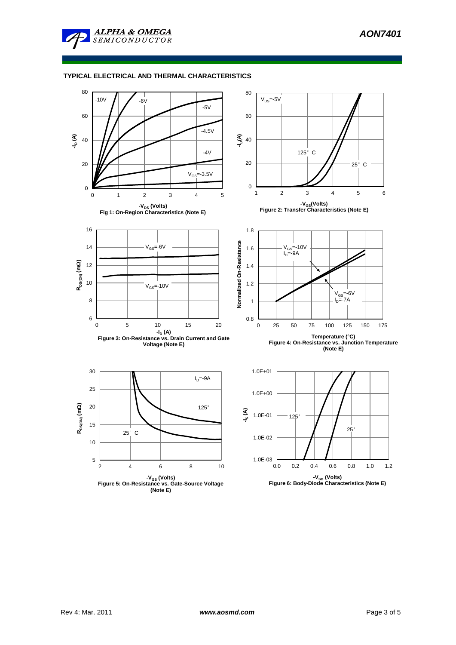

# **TYPICAL ELECTRICAL AND THERMAL CHARACTERISTICS**

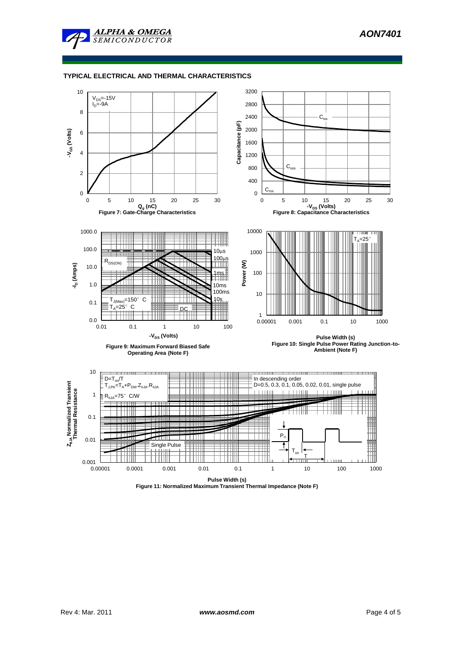

### **TYPICAL ELECTRICAL AND THERMAL CHARACTERISTICS**